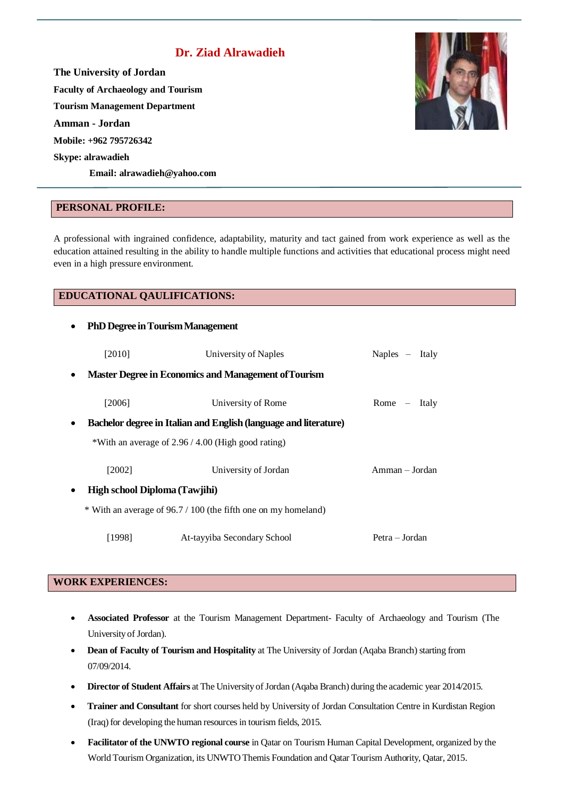# **Dr. Ziad Alrawadieh**

**The University of Jordan Faculty of Archaeology and Tourism Tourism Management Department Amman - Jordan Mobile: +962 795726342 Skype: alrawadieh Email[: alrawadieh@yahoo.com](mailto:alrawadieh@yahoo.com)**

#### **PERSONAL PROFILE:**

A professional with ingrained confidence, adaptability, maturity and tact gained from work experience as well as the education attained resulting in the ability to handle multiple functions and activities that educational process might need even in a high pressure environment.

#### **EDUCATIONAL QAULIFICATIONS:**

| $\bullet$                                  | <b>PhD Degree in Tourism Management</b>                          |                                                      |                |
|--------------------------------------------|------------------------------------------------------------------|------------------------------------------------------|----------------|
|                                            | [2010]                                                           | University of Naples                                 | Naples – Italy |
| $\bullet$                                  | <b>Master Degree in Economics and Management of Tourism</b>      |                                                      |                |
|                                            | [2006]                                                           | University of Rome                                   | Rome $-$ Italy |
| $\bullet$                                  | Bachelor degree in Italian and English (language and literature) |                                                      |                |
|                                            |                                                                  | *With an average of $2.96 / 4.00$ (High good rating) |                |
|                                            | [2002]                                                           | University of Jordan                                 | Amman - Jordan |
| High school Diploma (Tawjihi)<br>$\bullet$ |                                                                  |                                                      |                |
|                                            | * With an average of 96.7 / 100 (the fifth one on my homeland)   |                                                      |                |
|                                            | [1998]                                                           | At-tayyiba Secondary School                          | Petra – Jordan |

# **WORK EXPERIENCES:**

- **Associated Professor** at the Tourism Management Department- Faculty of Archaeology and Tourism (The University of Jordan).
- **Dean of Faculty of Tourism and Hospitality** at The University of Jordan (Aqaba Branch) starting from 07/09/2014.
- **Director of Student Affairs** at The University of Jordan (Aqaba Branch) during the academic year 2014/2015.
- **Trainer and Consultant** for short courses held by University of Jordan Consultation Centre in Kurdistan Region (Iraq) for developing the human resources in tourism fields, 2015.
- **Facilitator of the UNWTO regional course** in Qatar on Tourism Human Capital Development, organized by the World Tourism Organization, its UNWTO Themis Foundation and Qatar Tourism Authority, Qatar, 2015.

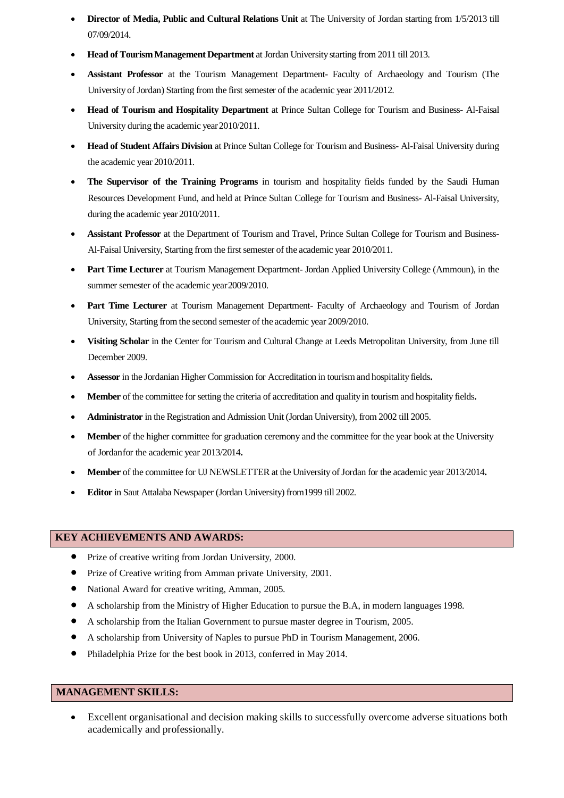- **Director of Media, Public and Cultural Relations Unit** at The University of Jordan starting from 1/5/2013 till 07/09/2014.
- **Head of TourismManagement Department** at Jordan Universitystarting from 2011 till 2013.
- **Assistant Professor** at the Tourism Management Department- Faculty of Archaeology and Tourism (The University of Jordan) Starting from the first semester of the academic year 2011/2012.
- **Head of Tourism and Hospitality Department** at Prince Sultan College for Tourism and Business- Al-Faisal University during the academic year2010/2011.
- **Head of Student Affairs Division** at Prince Sultan College for Tourism and Business- Al-Faisal University during the academic year 2010/2011.
- **The Supervisor of the Training Programs** in tourism and hospitality fields funded by the Saudi Human Resources Development Fund, and held at Prince Sultan College for Tourism and Business- Al-Faisal University, during the academic year 2010/2011.
- **Assistant Professor** at the Department of Tourism and Travel, Prince Sultan College for Tourism and Business-Al-Faisal University, Starting from the first semester of the academic year 2010/2011.
- **Part Time Lecturer** at Tourism Management Department- Jordan Applied University College (Ammoun), in the summer semester of the academic year 2009/2010.
- Part Time Lecturer at Tourism Management Department- Faculty of Archaeology and Tourism of Jordan University, Starting from the second semester of the academic year 2009/2010.
- **Visiting Scholar** in the Center for Tourism and Cultural Change at Leeds Metropolitan University, from June till December 2009.
- **Assessor** in the Jordanian Higher Commission for Accreditation in tourism and hospitality fields.
- **Member** of the committee for setting the criteria of accreditation and qualityin tourismand hospitality fields**.**
- **Administrator** in the Registration and Admission Unit (Jordan University), from 2002 till 2005.
- Member of the higher committee for graduation ceremony and the committee for the year book at the University of Jordanfor the academic year 2013/2014**.**
- Member of the committee for UJ NEWSLETTER at the University of Jordan for the academic year 2013/2014**.**
- **Editor** in Saut Attalaba Newspaper (Jordan University) from1999 till 2002.

#### **KEY ACHIEVEMENTS AND AWARDS:**

- Prize of creative writing from Jordan University, 2000.
- Prize of Creative writing from Amman private University, 2001.
- National Award for creative writing, Amman, 2005.
- A scholarship from the Ministry of Higher Education to pursue the B.A, in modern languages 1998.
- A scholarship from the Italian Government to pursue master degree in Tourism, 2005.
- A scholarship from University of Naples to pursue PhD in Tourism Management, 2006.
- Philadelphia Prize for the best book in 2013, conferred in May 2014.

#### **MANAGEMENT SKILLS:**

 Excellent organisational and decision making skills to successfully overcome adverse situations both academically and professionally.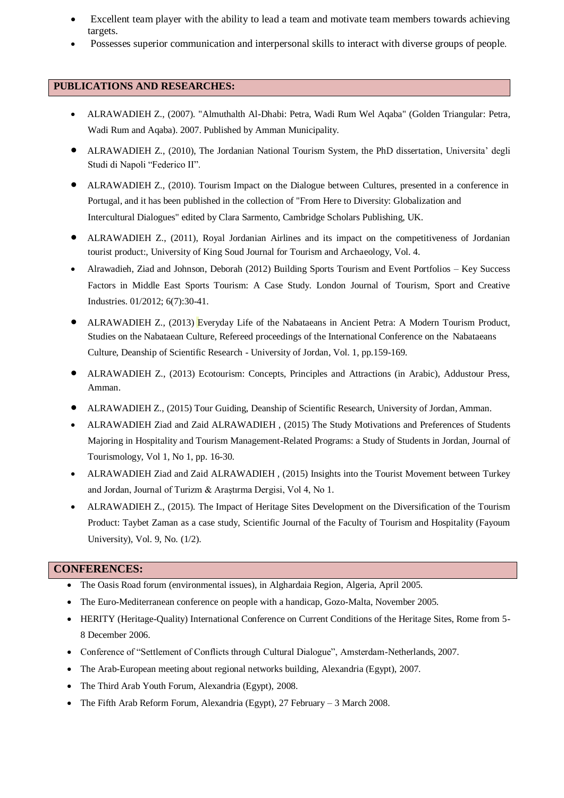- Excellent team player with the ability to lead a team and motivate team members towards achieving targets.
- Possesses superior communication and interpersonal skills to interact with diverse groups of people.

#### **PUBLICATIONS AND RESEARCHES:**

- ALRAWADIEH Z., (2007). "Almuthalth Al-Dhabi: Petra, Wadi Rum Wel Aqaba" (Golden Triangular: Petra, Wadi Rum and Aqaba). 2007. Published by Amman Municipality.
- ALRAWADIEH Z., (2010), The Jordanian National Tourism System, the PhD dissertation, Universita' degli Studi di Napoli "Federico II".
- ALRAWADIEH Z., (2010). Tourism Impact on the Dialogue between Cultures, presented in a conference in Portugal, and it has been published in the collection of "From Here to Diversity: Globalization and Intercultural Dialogues" edited by Clara Sarmento, Cambridge Scholars Publishing, UK.
- ALRAWADIEH Z., (2011), Royal Jordanian Airlines and its impact on the competitiveness of Jordanian tourist product:, University of King Soud Journal for Tourism and Archaeology, Vol. 4.
- Alrawadieh, Ziad and Johnson, Deborah (2012) Building Sports Tourism and Event Portfolios Key Success Factors in Middle East Sports Tourism: A Case Study. London Journal of Tourism, Sport and Creative Industries. 01/2012; 6(7):30-41.
- ALRAWADIEH Z., (2013) Everyday Life of the Nabataeans in Ancient Petra: A Modern Tourism Product, Studies on the Nabataean Culture, Refereed proceedings of the International Conference on the Nabataeans Culture, Deanship of Scientific Research - University of Jordan, Vol. 1, pp.159-169.
- ALRAWADIEH Z., (2013) Ecotourism: Concepts, Principles and Attractions (in Arabic), Addustour Press, Amman.
- ALRAWADIEH Z., (2015) Tour Guiding, Deanship of Scientific Research, University of Jordan, Amman.
- ALRAWADIEH Ziad and Zaid ALRAWADIEH , (2015) The Study Motivations and Preferences of Students Majoring in Hospitality and Tourism Management-Related Programs: a Study of Students in Jordan, Journal of Tourismology, Vol 1, No 1, pp. 16-30.
- ALRAWADIEH Ziad and Zaid ALRAWADIEH , (2015) Insights into the Tourist Movement between Turkey and Jordan, Journal of Turizm & Araştırma Dergisi, Vol 4, No 1.
- ALRAWADIEH Z., (2015). The Impact of Heritage Sites Development on the Diversification of the Tourism Product: Taybet Zaman as a case study, Scientific Journal of the Faculty of Tourism and Hospitality (Fayoum University), Vol. 9, No. (1/2).

#### **CONFERENCES:**

- The Oasis Road forum (environmental issues), in Alghardaia Region, Algeria, April 2005.
- The Euro-Mediterranean conference on people with a handicap, Gozo-Malta, November 2005.
- HERITY (Heritage-Quality) International Conference on Current Conditions of the Heritage Sites, Rome from 5- 8 December 2006.
- Conference of "Settlement of Conflicts through Cultural Dialogue", Amsterdam-Netherlands, 2007.
- The Arab-European meeting about regional networks building, Alexandria (Egypt), 2007.
- The Third Arab Youth Forum, Alexandria (Egypt), 2008.
- The Fifth Arab Reform Forum, Alexandria (Egypt), 27 February 3 March 2008.